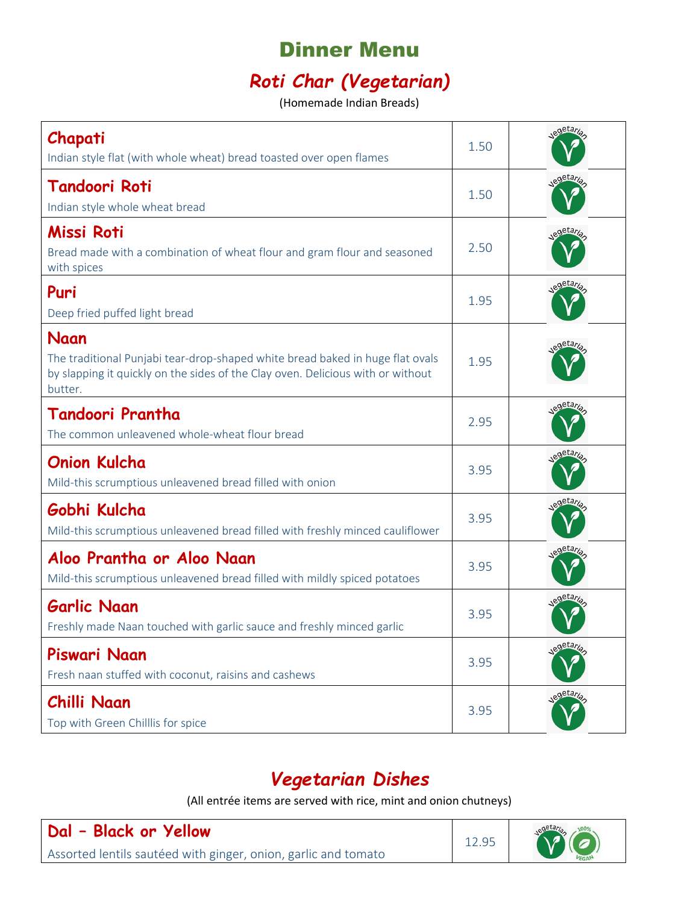# Dinner Menu

# *Roti Char (Vegetarian)*

(Homemade Indian Breads)

| Chapati<br>Indian style flat (with whole wheat) bread toasted over open flames                                                                                                      | 1.50 | egetaria             |
|-------------------------------------------------------------------------------------------------------------------------------------------------------------------------------------|------|----------------------|
| <b>Tandoori Roti</b><br>Indian style whole wheat bread                                                                                                                              | 1.50 | egetaria             |
| Missi Roti<br>Bread made with a combination of wheat flour and gram flour and seasoned<br>with spices                                                                               | 2.50 | egetaria             |
| Puri<br>Deep fried puffed light bread                                                                                                                                               | 1.95 | egetaria             |
| Naan<br>The traditional Punjabi tear-drop-shaped white bread baked in huge flat ovals<br>by slapping it quickly on the sides of the Clay oven. Delicious with or without<br>butter. | 1.95 | detar,               |
| Tandoori Prantha<br>The common unleavened whole-wheat flour bread                                                                                                                   | 2.95 | egetari              |
| <b>Onion Kulcha</b><br>Mild-this scrumptious unleavened bread filled with onion                                                                                                     | 3.95 | detary.              |
| Gobhi Kulcha<br>Mild-this scrumptious unleavened bread filled with freshly minced cauliflower                                                                                       | 3.95 | <sub>e</sub> getaria |
| Aloo Prantha or Aloo Naan<br>Mild-this scrumptious unleavened bread filled with mildly spiced potatoes                                                                              | 3.95 | getary.              |
| <b>Garlic Naan</b><br>Freshly made Naan touched with garlic sauce and freshly minced garlic                                                                                         | 3.95 | egetari.             |
| Piswari Naan<br>Fresh naan stuffed with coconut, raisins and cashews                                                                                                                | 3.95 | egetaria             |
| Chilli Naan<br>Top with Green Chilllis for spice                                                                                                                                    | 3.95 | <sub>e</sub> getaria |

#### *Vegetarian Dishes*

(All entrée items are served with rice, mint and onion chutneys)

**Dal – Black or Yellow** Assorted lentils sautéed with ginger, onion, garlic and tomato

12.95

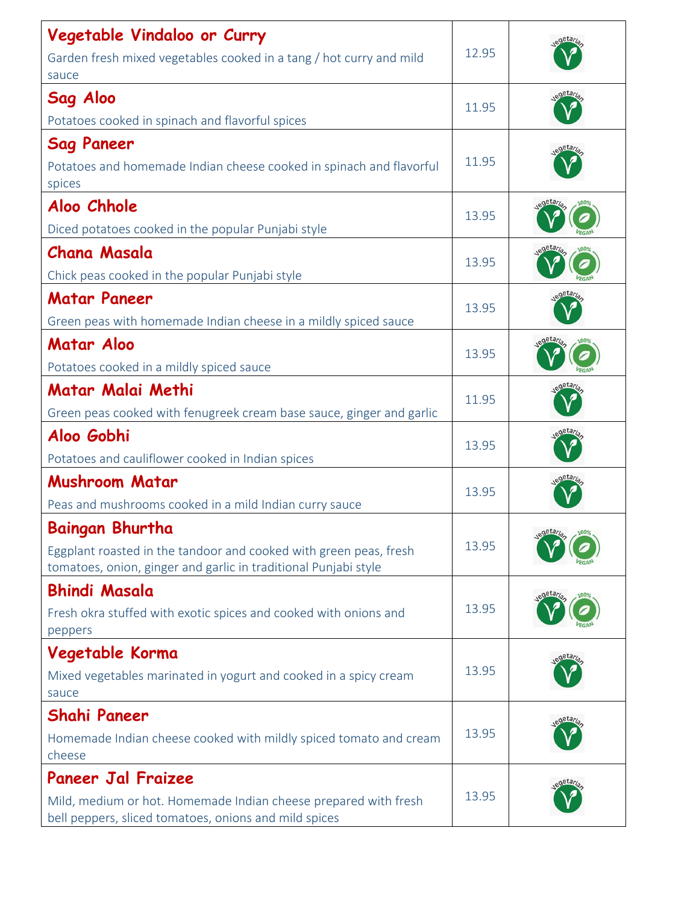| Vegetable Vindaloo or Curry                                                                                                          |       |                      |
|--------------------------------------------------------------------------------------------------------------------------------------|-------|----------------------|
| Garden fresh mixed vegetables cooked in a tang / hot curry and mild<br>sauce                                                         | 12.95 |                      |
| Sag Aloo                                                                                                                             | 11.95 |                      |
| Potatoes cooked in spinach and flavorful spices                                                                                      |       |                      |
| <b>Sag Paneer</b>                                                                                                                    |       |                      |
| Potatoes and homemade Indian cheese cooked in spinach and flavorful<br>spices                                                        | 11.95 |                      |
| Aloo Chhole                                                                                                                          | 13.95 |                      |
| Diced potatoes cooked in the popular Punjabi style                                                                                   |       |                      |
| <b>Chana Masala</b>                                                                                                                  | 13.95 |                      |
| Chick peas cooked in the popular Punjabi style                                                                                       |       | <b>FGA</b><br>.etar  |
| <b>Matar Paneer</b><br>Green peas with homemade Indian cheese in a mildly spiced sauce                                               | 13.95 |                      |
| <b>Matar Aloo</b>                                                                                                                    | 13.95 |                      |
| Potatoes cooked in a mildly spiced sauce                                                                                             |       |                      |
| Matar Malai Methi                                                                                                                    | 11.95 | , <sub>d</sub> etary |
| Green peas cooked with fenugreek cream base sauce, ginger and garlic<br>Aloo Gobhi                                                   |       |                      |
| Potatoes and cauliflower cooked in Indian spices                                                                                     | 13.95 |                      |
| <b>Mushroom Matar</b>                                                                                                                |       |                      |
| Peas and mushrooms cooked in a mild Indian curry sauce                                                                               | 13.95 |                      |
| <b>Baingan Bhurtha</b>                                                                                                               |       |                      |
| Eggplant roasted in the tandoor and cooked with green peas, fresh<br>tomatoes, onion, ginger and garlic in traditional Punjabi style | 13.95 |                      |
| <b>Bhindi Masala</b>                                                                                                                 |       |                      |
| Fresh okra stuffed with exotic spices and cooked with onions and<br>peppers                                                          | 13.95 |                      |
| Vegetable Korma                                                                                                                      |       |                      |
| Mixed vegetables marinated in yogurt and cooked in a spicy cream                                                                     | 13.95 |                      |
| sauce                                                                                                                                |       |                      |
| <b>Shahi Paneer</b>                                                                                                                  | 13.95 |                      |
| Homemade Indian cheese cooked with mildly spiced tomato and cream<br>cheese                                                          |       |                      |
| <b>Paneer Jal Fraizee</b>                                                                                                            |       |                      |
| Mild, medium or hot. Homemade Indian cheese prepared with fresh<br>bell peppers, sliced tomatoes, onions and mild spices             | 13.95 |                      |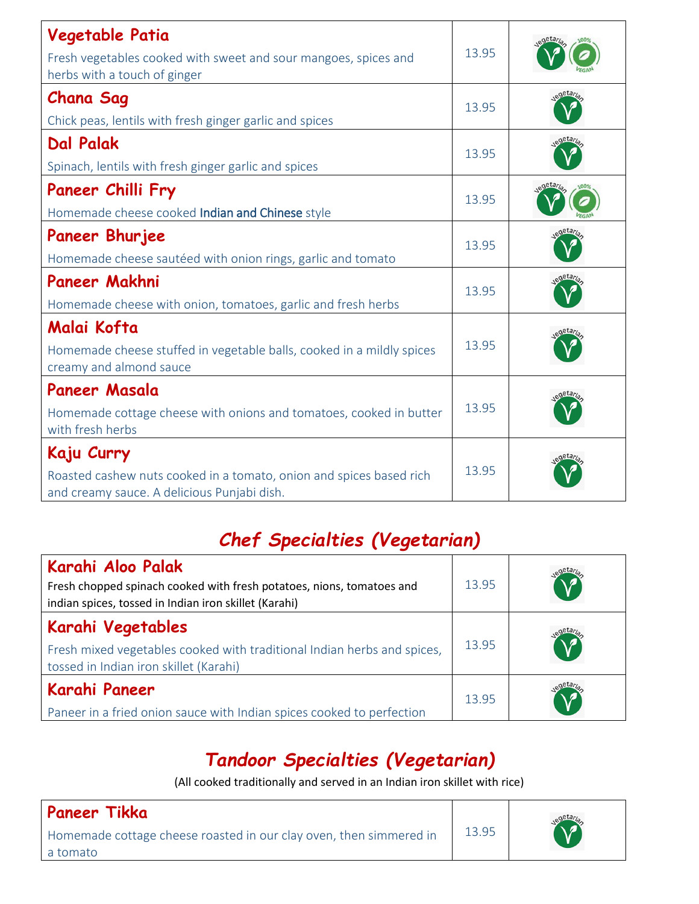| Vegetable Patia<br>Fresh vegetables cooked with sweet and sour mangoes, spices and<br>herbs with a touch of ginger               | 13.95 |        |
|----------------------------------------------------------------------------------------------------------------------------------|-------|--------|
| <b>Chana Sag</b><br>Chick peas, lentils with fresh ginger garlic and spices                                                      | 13.95 |        |
| <b>Dal Palak</b><br>Spinach, lentils with fresh ginger garlic and spices                                                         | 13.95 |        |
| Paneer Chilli Fry<br>Homemade cheese cooked Indian and Chinese style                                                             | 13.95 |        |
| <b>Paneer Bhurjee</b><br>Homemade cheese sautéed with onion rings, garlic and tomato                                             | 13.95 |        |
| Paneer Makhni<br>Homemade cheese with onion, tomatoes, garlic and fresh herbs                                                    | 13.95 | detar, |
| Malai Kofta<br>Homemade cheese stuffed in vegetable balls, cooked in a mildly spices<br>creamy and almond sauce                  | 13.95 |        |
| Paneer Masala<br>Homemade cottage cheese with onions and tomatoes, cooked in butter<br>with fresh herbs                          | 13.95 |        |
| Kaju Curry<br>Roasted cashew nuts cooked in a tomato, onion and spices based rich<br>and creamy sauce. A delicious Punjabi dish. | 13.95 |        |

# *Chef Specialties (Vegetarian)*

| Karahi Aloo Palak<br>Fresh chopped spinach cooked with fresh potatoes, nions, tomatoes and<br>indian spices, tossed in Indian iron skillet (Karahi) | 13.95 |  |
|-----------------------------------------------------------------------------------------------------------------------------------------------------|-------|--|
| Karahi Vegetables<br>Fresh mixed vegetables cooked with traditional Indian herbs and spices,<br>tossed in Indian iron skillet (Karahi)              | 13.95 |  |
| Karahi Paneer<br>Paneer in a fried onion sauce with Indian spices cooked to perfection                                                              | 13.95 |  |

## *Tandoor Specialties (Vegetarian)*

(All cooked traditionally and served in an Indian iron skillet with rice)

#### **Paneer Tikka** Homemade cottage cheese roasted in our clay oven, then simmered in a tomato 13.95